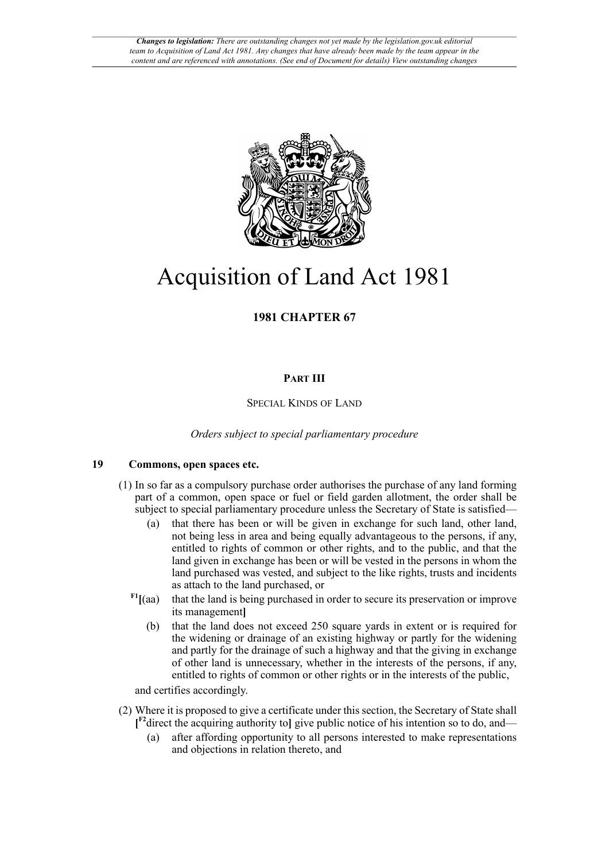

# Acquisition of Land Act 1981

# **1981 CHAPTER 67**

# **PART III**

# SPECIAL KINDS OF LAND

*Orders subject to special parliamentary procedure*

# **19 Commons, open spaces etc.**

- (1) In so far as a compulsory purchase order authorises the purchase of any land forming part of a common, open space or fuel or field garden allotment, the order shall be subject to special parliamentary procedure unless the Secretary of State is satisfied—
	- (a) that there has been or will be given in exchange for such land, other land, not being less in area and being equally advantageous to the persons, if any, entitled to rights of common or other rights, and to the public, and that the land given in exchange has been or will be vested in the persons in whom the land purchased was vested, and subject to the like rights, trusts and incidents as attach to the land purchased, or
	- $F<sup>I</sup>$ <sup>[(aa)</sup> that the land is being purchased in order to secure its preservation or improve its management**]**
		- (b) that the land does not exceed 250 square yards in extent or is required for the widening or drainage of an existing highway or partly for the widening and partly for the drainage of such a highway and that the giving in exchange of other land is unnecessary, whether in the interests of the persons, if any, entitled to rights of common or other rights or in the interests of the public,

<span id="page-0-0"></span>and certifies accordingly.

- <span id="page-0-1"></span>(2) Where it is proposed to give a certificate under this section, the Secretary of State shall **[ [F2](#page-1-1)**direct the acquiring authority to**]** give public notice of his intention so to do, and—
	- (a) after affording opportunity to all persons interested to make representations and objections in relation thereto, and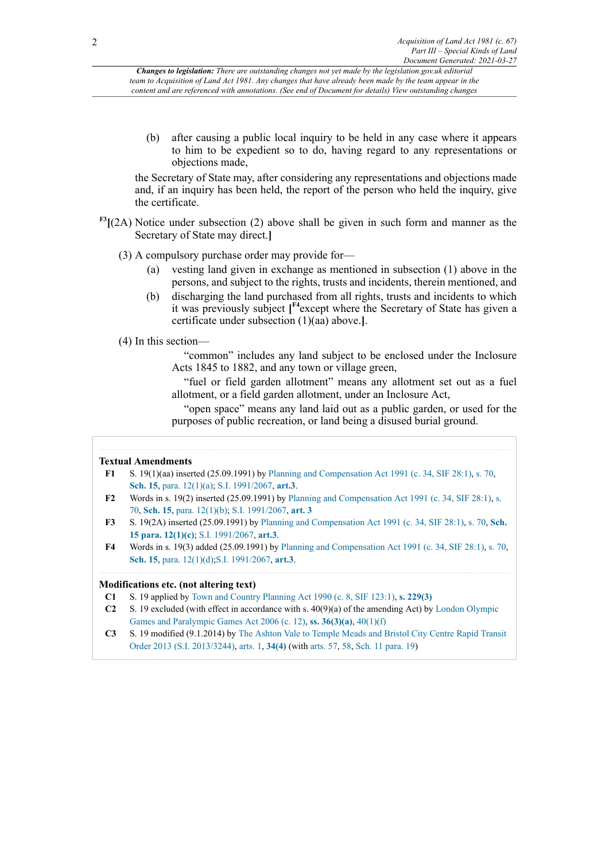(b) after causing a public local inquiry to be held in any case where it appears to him to be expedient so to do, having regard to any representations or objections made,

the Secretary of State may, after considering any representations and objections made and, if an inquiry has been held, the report of the person who held the inquiry, give the certificate.

- <span id="page-1-4"></span>**[F3](#page-1-2)[**(2A) Notice under subsection (2) above shall be given in such form and manner as the Secretary of State may direct.**]**
	- (3) A compulsory purchase order may provide for—
		- (a) vesting land given in exchange as mentioned in subsection (1) above in the persons, and subject to the rights, trusts and incidents, therein mentioned, and
		- (b) discharging the land purchased from all rights, trusts and incidents to which it was previously subject **[ [F4](#page-1-3)**except where the Secretary of State has given a certificate under subsection (1)(aa) above.**]**.
	- (4) In this section—

<span id="page-1-5"></span>"common" includes any land subject to be enclosed under the Inclosure Acts 1845 to 1882, and any town or village green,

"fuel or field garden allotment" means any allotment set out as a fuel allotment, or a field garden allotment, under an Inclosure Act,

"open space" means any land laid out as a public garden, or used for the purposes of public recreation, or land being a disused burial ground.

#### **Textual Amendments**

- <span id="page-1-0"></span>**[F1](#page-0-0)** S. 19(1)(aa) inserted (25.09.1991) by [Planning and Compensation Act 1991 \(c. 34, SIF 28:1\)](http://www.legislation.gov.uk/id/ukpga/1991/34), [s. 70,](http://www.legislation.gov.uk/id/ukpga/1991/34/section/70) **[Sch. 15](http://www.legislation.gov.uk/id/ukpga/1991/34/schedule/15)**, [para. 12\(1\)\(a\)](http://www.legislation.gov.uk/id/ukpga/1991/34/paragraph/12/1/a); [S.I. 1991/2067](http://www.legislation.gov.uk/id/uksi/1991/2067), **[art.3](http://www.legislation.gov.uk/id/uksi/1991/2067/article/3)**.
- <span id="page-1-1"></span>**[F2](#page-0-1)** Words in s. 19(2) inserted (25.09.1991) by [Planning and Compensation Act 1991 \(c. 34, SIF 28:1\)](http://www.legislation.gov.uk/id/ukpga/1991/34), [s.](http://www.legislation.gov.uk/id/ukpga/1991/34/section/70) [70,](http://www.legislation.gov.uk/id/ukpga/1991/34/section/70) **[Sch. 15](http://www.legislation.gov.uk/id/ukpga/1991/34/schedule/15)**, [para. 12\(1\)\(b\)](http://www.legislation.gov.uk/id/ukpga/1991/34/paragraph/12/1/b); [S.I. 1991/2067](http://www.legislation.gov.uk/id/uksi/1991/2067), **[art. 3](http://www.legislation.gov.uk/id/uksi/1991/2067/article/3)**
- <span id="page-1-2"></span>**[F3](#page-1-4)** S. 19(2A) inserted (25.09.1991) by [Planning and Compensation Act 1991 \(c. 34, SIF 28:1\),](http://www.legislation.gov.uk/id/ukpga/1991/34) [s. 70](http://www.legislation.gov.uk/id/ukpga/1991/34/section/70), **[Sch.](http://www.legislation.gov.uk/id/ukpga/1991/34/schedule/15/paragraph/12/1/c) [15 para. 12\(1\)\(c\)](http://www.legislation.gov.uk/id/ukpga/1991/34/schedule/15/paragraph/12/1/c)**; [S.I. 1991/2067,](http://www.legislation.gov.uk/id/uksi/1991/2067) **[art.3](http://www.legislation.gov.uk/id/uksi/1991/2067/article/3)**.
- <span id="page-1-3"></span>**[F4](#page-1-5)** Words in s. 19(3) added (25.09.1991) by [Planning and Compensation Act 1991 \(c. 34, SIF 28:1\)](http://www.legislation.gov.uk/id/ukpga/1991/34), [s. 70,](http://www.legislation.gov.uk/id/ukpga/1991/34/section/70) **[Sch. 15](http://www.legislation.gov.uk/id/ukpga/1991/34/schedule/15)**, [para. 12\(1\)\(d\);](http://www.legislation.gov.uk/id/ukpga/1991/34/paragraph/12/1/d)[S.I. 1991/2067](http://www.legislation.gov.uk/id/uksi/1991/2067), **[art.3](http://www.legislation.gov.uk/id/uksi/1991/2067/article/3)**.

#### **Modifications etc. (not altering text)**

- **C1** S. 19 applied by Town and Country [Planning](http://www.legislation.gov.uk/id/ukpga/1990/8) Act 1990 (c. 8, SIF 123:1), **[s. 229\(3\)](http://www.legislation.gov.uk/id/ukpga/1990/8/section/229/3)**
- **C2** S. 19 excluded (with effect in accordance with s. 40(9)(a) of the amending Act) by [London Olympic](http://www.legislation.gov.uk/id/ukpga/2006/12) [Games and Paralympic Games Act 2006 \(c. 12\),](http://www.legislation.gov.uk/id/ukpga/2006/12) **[ss. 36\(3\)\(a\)](http://www.legislation.gov.uk/id/ukpga/2006/12/section/36/3/a)**, [40\(1\)\(f\)](http://www.legislation.gov.uk/id/ukpga/2006/12/section/40/1/f)
- **C3** S. 19 modified (9.1.2014) by The Ashton Vale to [Temple](http://www.legislation.gov.uk/id/uksi/2013/3244) Meads and Bristol City Centre Rapid Transit [Order 2013 \(S.I. 2013/3244\)](http://www.legislation.gov.uk/id/uksi/2013/3244), [arts. 1,](http://www.legislation.gov.uk/id/uksi/2013/3244/article/1) **[34\(4\)](http://www.legislation.gov.uk/id/uksi/2013/3244/article/34/4)** (with [arts. 57,](http://www.legislation.gov.uk/id/uksi/2013/3244/article/57) [58](http://www.legislation.gov.uk/id/uksi/2013/3244/article/58), Sch. 11 [para.](http://www.legislation.gov.uk/id/uksi/2013/3244/schedule/11/paragraph/19) 19)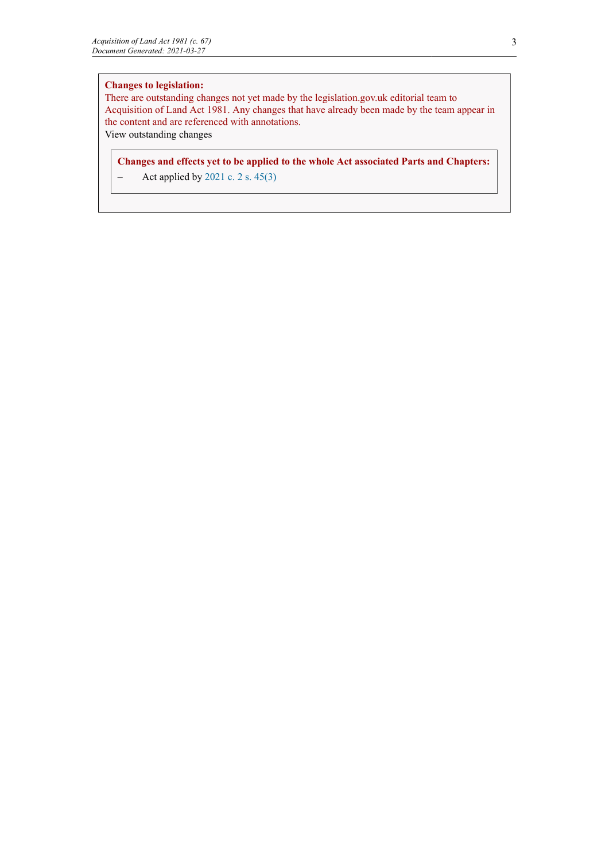# **Changes to legislation:**

There are outstanding changes not yet made by the legislation.gov.uk editorial team to Acquisition of Land Act 1981. Any changes that have already been made by the team appear in the content and are referenced with annotations. View outstanding changes

**Changes and effects yet to be applied to the whole Act associated Parts and Chapters:**

 $-$  Act applied by [2021 c. 2](http://www.legislation.gov.uk/id/ukpga/2021/2) [s. 45\(3\)](http://www.legislation.gov.uk/id/ukpga/2021/2/section/45/3)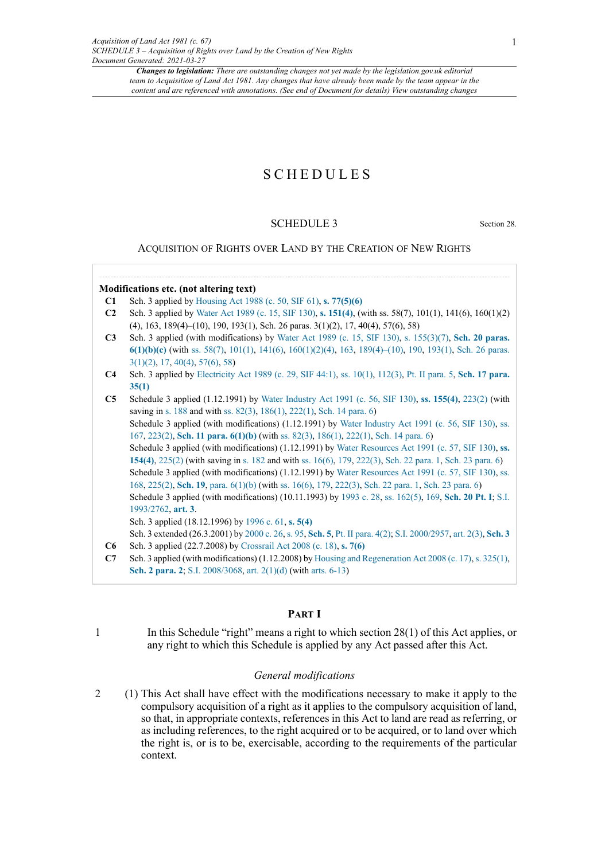# SCHEDULES

# SCHEDULE 3 Section 28.

ACQUISITION OF RIGHTS OVER LAND BY THE CREATION OF NEW RIGHTS

# **Modifications etc. (not altering text)**

- **C1** Sch. 3 applied by [Housing Act 1988 \(c. 50, SIF 61\),](http://www.legislation.gov.uk/id/ukpga/1988/50) **[s. 77\(5\)\(6\)](http://www.legislation.gov.uk/id/ukpga/1988/50/section/77/5/6)**
- **C2** Sch. 3 applied by [Water](http://www.legislation.gov.uk/id/ukpga/1989/15) Act 1989 (c. 15, SIF 130), **[s. 151\(4\)](http://www.legislation.gov.uk/id/ukpga/1989/15/section/151/4)**, (with ss. 58(7), 101(1), 141(6), 160(1)(2) (4), 163, 189(4)–(10), 190, 193(1), Sch. 26 paras. 3(1)(2), 17, 40(4), 57(6), 58)
- **C3** Sch. 3 applied (with modifications) by [Water](http://www.legislation.gov.uk/id/ukpga/1989/15) Act 1989 (c. 15, SIF 130), [s. 155\(3\)\(7\),](http://www.legislation.gov.uk/id/ukpga/1989/15/section/155/3/7) **[Sch. 20 paras.](http://www.legislation.gov.uk/id/ukpga/1989/15/schedule/20/paragraph/6/1/b/c) [6\(1\)\(b\)\(c\)](http://www.legislation.gov.uk/id/ukpga/1989/15/schedule/20/paragraph/6/1/b/c)** (with [ss. 58\(7\),](http://www.legislation.gov.uk/id/ukpga/1989/15/section/58/7) [101\(1\),](http://www.legislation.gov.uk/id/ukpga/1989/15/section/101/1) [141\(6\)](http://www.legislation.gov.uk/id/ukpga/1989/15/section/141/6), [160\(1\)\(2\)\(4\)](http://www.legislation.gov.uk/id/ukpga/1989/15/section/160/1/2/4), [163,](http://www.legislation.gov.uk/id/ukpga/1989/15/section/163) [189\(4\)–\(10\)](http://www.legislation.gov.uk/id/ukpga/1989/15/section/189/4), [190,](http://www.legislation.gov.uk/id/ukpga/1989/15/section/190) [193\(1\),](http://www.legislation.gov.uk/id/ukpga/1989/15/section/193/1) [Sch. 26 paras.](http://www.legislation.gov.uk/id/ukpga/1989/15/schedule/26/paragraph/3/1/2) [3\(1\)\(2\)](http://www.legislation.gov.uk/id/ukpga/1989/15/schedule/26/paragraph/3/1/2), [17,](http://www.legislation.gov.uk/id/ukpga/1989/15/schedule/26/paragraph/17) [40\(4\),](http://www.legislation.gov.uk/id/ukpga/1989/15/schedule/26/paragraph/40/4) [57\(6\),](http://www.legislation.gov.uk/id/ukpga/1989/15/schedule/26/paragraph/57/6) [58](http://www.legislation.gov.uk/id/ukpga/1989/15/schedule/26/paragraph/58))
- **C4** Sch. 3 applied by [Electricity Act 1989 \(c. 29, SIF 44:1\)](http://www.legislation.gov.uk/id/ukpga/1989/29), [ss. 10\(1\),](http://www.legislation.gov.uk/id/ukpga/1989/29/section/10/1) [112\(3\),](http://www.legislation.gov.uk/id/ukpga/1989/29/section/112/3) [Pt. II para. 5](http://www.legislation.gov.uk/id/ukpga/1989/29/part/II/paragraph/5), **[Sch. 17 para.](http://www.legislation.gov.uk/id/ukpga/1989/29/schedule/17/paragraph/35/1) [35\(1\)](http://www.legislation.gov.uk/id/ukpga/1989/29/schedule/17/paragraph/35/1)**

**C5** Schedule 3 applied (1.12.1991) by Water [Industry](http://www.legislation.gov.uk/id/ukpga/1991/56) Act 1991 (c. 56, SIF 130), **[ss. 155\(4\)](http://www.legislation.gov.uk/id/ukpga/1991/56/section/155/4)**, [223\(2\)](http://www.legislation.gov.uk/id/ukpga/1991/56/section/223/2) (with saving in [s. 188](http://www.legislation.gov.uk/id/ukpga/1991/56/section/188) and with [ss. 82\(3\),](http://www.legislation.gov.uk/id/ukpga/1991/56/section/82/3) [186\(1\)](http://www.legislation.gov.uk/id/ukpga/1991/56/section/186/1), [222\(1\),](http://www.legislation.gov.uk/id/ukpga/1991/56/section/222/1) [Sch. 14 para. 6](http://www.legislation.gov.uk/id/ukpga/1991/56/schedule/14/paragraph/6)) Schedule 3 applied (with modifications) (1.12.1991) by Water [Industry](http://www.legislation.gov.uk/id/ukpga/1991/56) Act 1991 (c. 56, SIF 130), [ss.](http://www.legislation.gov.uk/id/ukpga/1991/56/section/167) [167](http://www.legislation.gov.uk/id/ukpga/1991/56/section/167), [223\(2\),](http://www.legislation.gov.uk/id/ukpga/1991/56/section/223/2) **Sch. 11 para. [6\(1\)\(b\)](http://www.legislation.gov.uk/id/ukpga/1991/56/schedule/11/paragraph/6/1/b)** (with [ss. 82\(3\)](http://www.legislation.gov.uk/id/ukpga/1991/56/section/82/3), [186\(1\),](http://www.legislation.gov.uk/id/ukpga/1991/56/section/186/1) [222\(1\)](http://www.legislation.gov.uk/id/ukpga/1991/56/section/222/1), [Sch. 14 para. 6\)](http://www.legislation.gov.uk/id/ukpga/1991/56/schedule/14/paragraph/6) Schedule 3 applied (with modifications) (1.12.1991) by Water [Resources](http://www.legislation.gov.uk/id/ukpga/1991/57) Act 1991 (c. 57, SIF 130), **[ss.](http://www.legislation.gov.uk/id/ukpga/1991/57/section/154/4) [154\(4\)](http://www.legislation.gov.uk/id/ukpga/1991/57/section/154/4)**, [225\(2\)](http://www.legislation.gov.uk/id/ukpga/1991/57/section/225/2) (with saving in [s. 182](http://www.legislation.gov.uk/id/ukpga/1991/57/section/182) and with [ss. 16\(6\),](http://www.legislation.gov.uk/id/ukpga/1991/57/section/16/6) [179,](http://www.legislation.gov.uk/id/ukpga/1991/57/section/179) [222\(3\)](http://www.legislation.gov.uk/id/ukpga/1991/57/section/222/3), [Sch. 22 para. 1,](http://www.legislation.gov.uk/id/ukpga/1991/57/schedule/22/paragraph/1) [Sch. 23 para. 6\)](http://www.legislation.gov.uk/id/ukpga/1991/57/schedule/23/paragraph/6) Schedule 3 applied (with modifications) (1.12.1991) by Water [Resources](http://www.legislation.gov.uk/id/ukpga/1991/57) Act 1991 (c. 57, SIF 130), [ss.](http://www.legislation.gov.uk/id/ukpga/1991/57/section/168) [168](http://www.legislation.gov.uk/id/ukpga/1991/57/section/168), [225\(2\),](http://www.legislation.gov.uk/id/ukpga/1991/57/section/225/2) **[Sch. 19](http://www.legislation.gov.uk/id/ukpga/1991/57/schedule/19)**, [para. 6\(1\)\(b\)](http://www.legislation.gov.uk/id/ukpga/1991/57/paragraph/6/1/b) (with [ss. 16\(6\)](http://www.legislation.gov.uk/id/ukpga/1991/57/section/16/6), [179](http://www.legislation.gov.uk/id/ukpga/1991/57/section/179), [222\(3\),](http://www.legislation.gov.uk/id/ukpga/1991/57/section/222/3) [Sch. 22 para. 1,](http://www.legislation.gov.uk/id/ukpga/1991/57/schedule/22/paragraph/1) [Sch. 23 para. 6](http://www.legislation.gov.uk/id/ukpga/1991/57/schedule/23/paragraph/6)) Schedule 3 applied (with modifications) (10.11.1993) by [1993 c. 28,](http://www.legislation.gov.uk/id/ukpga/1993/28) [ss. 162\(5\),](http://www.legislation.gov.uk/id/ukpga/1993/28/section/162/5) [169](http://www.legislation.gov.uk/id/ukpga/1993/28/section/169), **[Sch. 20 Pt. I](http://www.legislation.gov.uk/id/ukpga/1993/28/schedule/20/part/I)**; [S.I.](http://www.legislation.gov.uk/id/uksi/1993/2762) [1993/2762](http://www.legislation.gov.uk/id/uksi/1993/2762), **[art. 3](http://www.legislation.gov.uk/id/uksi/1993/2762/article/3)**. Sch. 3 applied (18.12.1996) by [1996 c. 61,](http://www.legislation.gov.uk/id/ukpga/1996/61) **[s. 5\(4\)](http://www.legislation.gov.uk/id/ukpga/1996/61/section/5/4)** Sch. 3 extended (26.3.2001) by [2000 c. 26,](http://www.legislation.gov.uk/id/ukpga/2000/26) [s. 95](http://www.legislation.gov.uk/id/ukpga/2000/26/section/95), **[Sch. 5](http://www.legislation.gov.uk/id/ukpga/2000/26/schedule/5)**, [Pt. II para. 4\(2\)](http://www.legislation.gov.uk/id/ukpga/2000/26/part/II/paragraph/4/2); [S.I. 2000/2957](http://www.legislation.gov.uk/id/uksi/2000/2957), [art. 2\(3\),](http://www.legislation.gov.uk/id/uksi/2000/2957/article/2/3) **[Sch. 3](http://www.legislation.gov.uk/id/uksi/2000/2957/schedule/3) C6** Sch. 3 applied (22.7.2008) by [Crossrail Act 2008 \(c. 18\)](http://www.legislation.gov.uk/id/ukpga/2008/18), **[s. 7\(6\)](http://www.legislation.gov.uk/id/ukpga/2008/18/section/7/6)**

**C7** Sch. 3 applied (with modifications) (1.12.2008) by [Housing and Regeneration Act 2008 \(c. 17\),](http://www.legislation.gov.uk/id/ukpga/2008/17) [s. 325\(1\)](http://www.legislation.gov.uk/id/ukpga/2008/17/section/325/1), **[Sch. 2 para. 2](http://www.legislation.gov.uk/id/ukpga/2008/17/schedule/2/paragraph/2)**; [S.I. 2008/3068,](http://www.legislation.gov.uk/id/uksi/2008/3068) [art. 2\(1\)\(d\)](http://www.legislation.gov.uk/id/uksi/2008/3068/article/2/1/d) (with [arts. 6-13](http://www.legislation.gov.uk/id/uksi/2008/3068/article/6))

### **PART I**

1 In this Schedule "right" means a right to which section 28(1) of this Act applies, or any right to which this Schedule is applied by any Act passed after this Act.

## *General modifications*

2 (1) This Act shall have effect with the modifications necessary to make it apply to the compulsory acquisition of a right as it applies to the compulsory acquisition of land, so that, in appropriate contexts, references in this Act to land are read as referring, or as including references, to the right acquired or to be acquired, or to land over which the right is, or is to be, exercisable, according to the requirements of the particular context.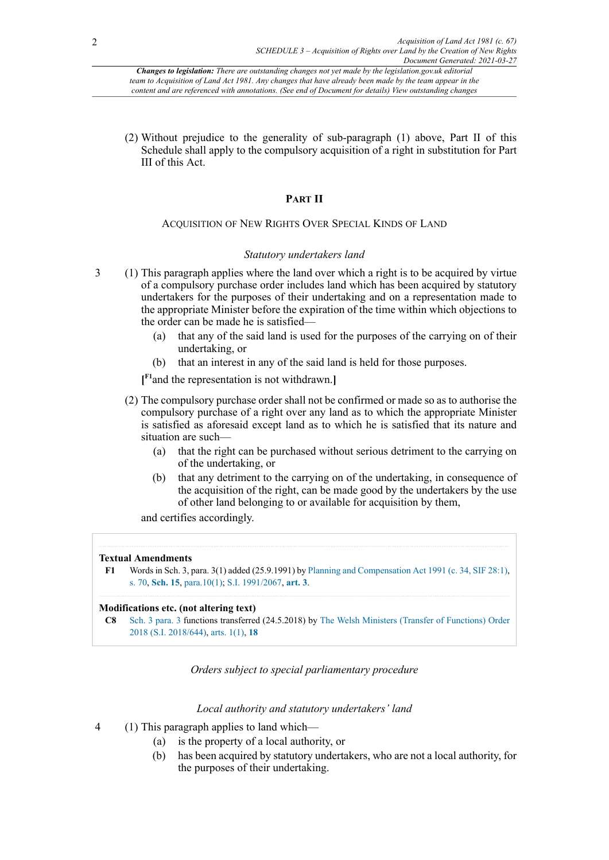(2) Without prejudice to the generality of sub-paragraph (1) above, Part II of this Schedule shall apply to the compulsory acquisition of a right in substitution for Part III of this Act.

# **PART II**

# ACQUISITION OF NEW RIGHTS OVER SPECIAL KINDS OF LAND

# *Statutory undertakers land*

- 3 (1) This paragraph applies where the land over which a right is to be acquired by virtue of a compulsory purchase order includes land which has been acquired by statutory undertakers for the purposes of their undertaking and on a representation made to the appropriate Minister before the expiration of the time within which objections to the order can be made he is satisfied—
	- (a) that any of the said land is used for the purposes of the carrying on of their undertaking, or
	- (b) that an interest in any of the said land is held for those purposes.

<span id="page-4-1"></span>**[ [F1](#page-4-0)**and the representation is not withdrawn.**]**

- (2) The compulsory purchase order shall not be confirmed or made so as to authorise the compulsory purchase of a right over any land as to which the appropriate Minister is satisfied as aforesaid except land as to which he is satisfied that its nature and situation are such—
	- (a) that the right can be purchased without serious detriment to the carrying on of the undertaking, or
	- (b) that any detriment to the carrying on of the undertaking, in consequence of the acquisition of the right, can be made good by the undertakers by the use of other land belonging to or available for acquisition by them,

and certifies accordingly.

#### **Textual Amendments**

```
F1 Words in Sch. 3, para. 3(1) added (25.9.1991) by Planning and Compensation Act 1991 (c. 34, SIF 28:1),
s. 70, Sch. 15, para.10(1); S.I. 1991/2067, art. 3.
```
# **Modifications etc. (not altering text)**

```
C8 Sch. 3 para. 3 functions transferred (24.5.2018) by The Welsh Ministers (Transfer of Functions) Order
2018 (S.I. 2018/644), arts. 1(1), 18
```
*Orders subject to special parliamentary procedure*

# *Local authority and statutory undertakers' land*

- 4 (1) This paragraph applies to land which—
	- (a) is the property of a local authority, or
	- (b) has been acquired by statutory undertakers, who are not a local authority, for the purposes of their undertaking.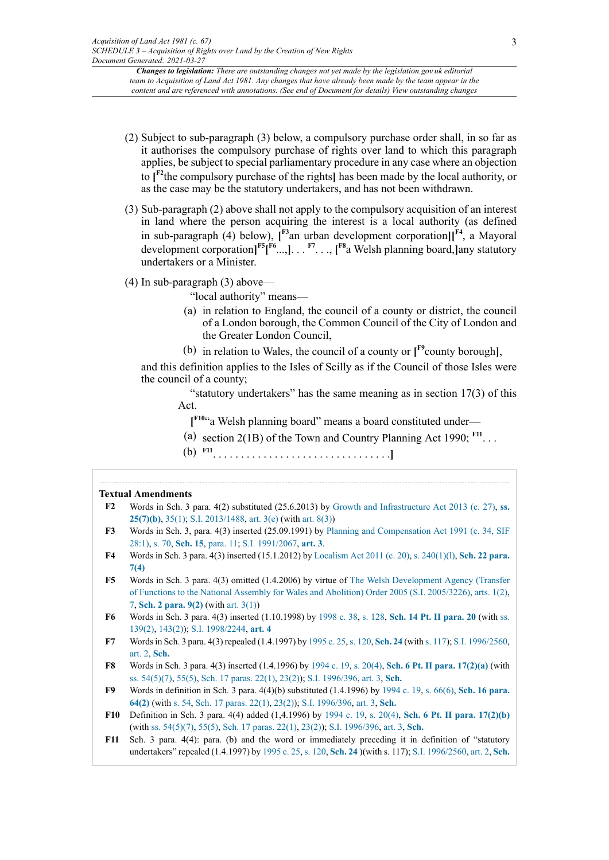- <span id="page-5-10"></span>(2) Subject to sub-paragraph (3) below, a compulsory purchase order shall, in so far as it authorises the compulsory purchase of rights over land to which this paragraph applies, be subject to special parliamentary procedure in any case where an objection to **[ [F2](#page-5-0)**the compulsory purchase of the rights**]** has been made by the local authority, or as the case may be the statutory undertakers, and has not been withdrawn.
- (3) Sub-paragraph (2) above shall not apply to the compulsory acquisition of an interest in land where the person acquiring the interest is a local authority (as defined in sub-paragraph (4) below),  $[$ <sup>[F3](#page-5-1)</sup>an urban development corporation] $[$ <sup>[F4](#page-5-2)</sup>, a Mayoral development corporation**] [F5](#page-5-3)[ [F6](#page-5-4)** ...,**]**. . . **[F7](#page-5-5)** . . ., **[ [F8](#page-5-6)**a Welsh planning board,**]**any statutory undertakers or a Minister.
- (4) In sub-paragraph (3) above—

<span id="page-5-17"></span><span id="page-5-16"></span><span id="page-5-15"></span><span id="page-5-14"></span><span id="page-5-13"></span><span id="page-5-12"></span><span id="page-5-11"></span>"local authority" means—

- (a) in relation to England, the council of a county or district, the council of a London borough, the Common Council of the City of London and the Greater London Council,
- (b) in relation to Wales, the council of a county or **[ [F9](#page-5-7)**county borough**]**,

and this definition applies to the Isles of Scilly as if the Council of those Isles were the council of a county;

"statutory undertakers" has the same meaning as in section 17(3) of this Act.

<span id="page-5-19"></span><span id="page-5-18"></span>**[ [F10](#page-5-8)**"a Welsh planning board" means a board constituted under—

- (a) section 2(1B) of the Town and Country Planning Act 1990;  $F11$ ...
- (b) **[F11](#page-5-9)** . . . . . . . . . . . . . . . . . . . . . . . . . . . . . . . .**]**

#### **Textual Amendments**

- <span id="page-5-0"></span>**[F2](#page-5-10)** Words in Sch. 3 para. 4(2) substituted (25.6.2013) by [Growth and Infrastructure Act 2013 \(c. 27\)](http://www.legislation.gov.uk/id/ukpga/2013/27), **[ss.](http://www.legislation.gov.uk/id/ukpga/2013/27/section/25/7/b) [25\(7\)\(b\)](http://www.legislation.gov.uk/id/ukpga/2013/27/section/25/7/b)**, [35\(1\)](http://www.legislation.gov.uk/id/ukpga/2013/27/section/35/1); [S.I. 2013/1488](http://www.legislation.gov.uk/id/uksi/2013/1488), [art. 3\(e\)](http://www.legislation.gov.uk/id/uksi/2013/1488/article/3/e) (with [art. 8\(3\)\)](http://www.legislation.gov.uk/id/uksi/2013/1488/article/8/3)
- <span id="page-5-1"></span>**[F3](#page-5-11)** Words in Sch. 3, para. 4(3) inserted (25.09.1991) by [Planning and Compensation Act 1991 \(c. 34, SIF](http://www.legislation.gov.uk/id/ukpga/1991/34) [28:1\),](http://www.legislation.gov.uk/id/ukpga/1991/34) [s. 70](http://www.legislation.gov.uk/id/ukpga/1991/34/section/70), **[Sch. 15](http://www.legislation.gov.uk/id/ukpga/1991/34/schedule/15)**, [para.](http://www.legislation.gov.uk/id/ukpga/1991/34/paragraph/11) 11; [S.I. 1991/2067](http://www.legislation.gov.uk/id/uksi/1991/2067), **[art. 3](http://www.legislation.gov.uk/id/uksi/1991/2067/article/3)**.
- <span id="page-5-2"></span>**[F4](#page-5-12)** Words in Sch. 3 para. 4(3) inserted (15.1.2012) by [Localism](http://www.legislation.gov.uk/id/ukpga/2011/20) Act 2011 (c. 20), [s. 240\(1\)\(l\),](http://www.legislation.gov.uk/id/ukpga/2011/20/section/240/1/l) **[Sch. 22 para.](http://www.legislation.gov.uk/id/ukpga/2011/20/schedule/22/paragraph/7/4) [7\(4\)](http://www.legislation.gov.uk/id/ukpga/2011/20/schedule/22/paragraph/7/4)**
- <span id="page-5-3"></span>**[F5](#page-5-13)** Words in Sch. 3 para. 4(3) omitted (1.4.2006) by virtue of The Welsh [Development](http://www.legislation.gov.uk/id/uksi/2005/3226) Agency (Transfer of Functions to the National Assembly for Wales and Abolition) Order 2005 (S.I. [2005/3226\),](http://www.legislation.gov.uk/id/uksi/2005/3226) [arts. 1\(2\)](http://www.legislation.gov.uk/id/uksi/2005/3226/article/1/2), [7](http://www.legislation.gov.uk/id/uksi/2005/3226/article/7), **[Sch. 2 para. 9\(2\)](http://www.legislation.gov.uk/id/uksi/2005/3226/schedule/2/paragraph/9/2)** (with [art. 3\(1\)\)](http://www.legislation.gov.uk/id/uksi/2005/3226/article/3/1)
- <span id="page-5-4"></span>**[F6](#page-5-14)** Words in Sch. 3 para. 4(3) inserted (1.10.1998) by [1998 c. 38,](http://www.legislation.gov.uk/id/ukpga/1998/38) [s. 128](http://www.legislation.gov.uk/id/ukpga/1998/38/section/128), **[Sch. 14 Pt. II para. 20](http://www.legislation.gov.uk/id/ukpga/1998/38/schedule/14/part/II/paragraph/20)** (with [ss.](http://www.legislation.gov.uk/id/ukpga/1998/38/section/139/2) [139\(2\),](http://www.legislation.gov.uk/id/ukpga/1998/38/section/139/2) [143\(2\)](http://www.legislation.gov.uk/id/ukpga/1998/38/section/143/2)); [S.I. 1998/2244](http://www.legislation.gov.uk/id/uksi/1998/2244), **[art. 4](http://www.legislation.gov.uk/id/uksi/1998/2244/article/4)**
- <span id="page-5-5"></span>**[F7](#page-5-15)** Wordsin Sch. 3 para. 4(3) repealed (1.4.1997) by [1995 c. 25](http://www.legislation.gov.uk/id/ukpga/1995/25), [s. 120,](http://www.legislation.gov.uk/id/ukpga/1995/25/section/120) **[Sch. 24](http://www.legislation.gov.uk/id/ukpga/1995/25/schedule/24)** (with s. [117\)](http://www.legislation.gov.uk/id/ukpga/1995/25/section/117); [S.I. 1996/2560](http://www.legislation.gov.uk/id/uksi/1996/2560), [art. 2](http://www.legislation.gov.uk/id/uksi/1996/2560/article/2), **[Sch.](http://www.legislation.gov.uk/id/uksi/1996/2560/schedule)**
- <span id="page-5-6"></span>**[F8](#page-5-16)** Words in Sch. 3 para. 4(3) inserted (1.4.1996) by [1994 c. 19,](http://www.legislation.gov.uk/id/ukpga/1994/19) [s. 20\(4\),](http://www.legislation.gov.uk/id/ukpga/1994/19/section/20/4) **[Sch. 6 Pt. II para. 17\(2\)\(a\)](http://www.legislation.gov.uk/id/ukpga/1994/19/schedule/6/part/II/paragraph/17/2/a)** (with [ss. 54\(5\)\(7\)](http://www.legislation.gov.uk/id/ukpga/1994/19/section/54/5/7), [55\(5\)](http://www.legislation.gov.uk/id/ukpga/1994/19/section/55/5), [Sch. 17 paras. 22\(1\),](http://www.legislation.gov.uk/id/ukpga/1994/19/schedule/17/paragraph/22/1) [23\(2\)\)](http://www.legislation.gov.uk/id/ukpga/1994/19/schedule/17/paragraph/23/2); [S.I. 1996/396](http://www.legislation.gov.uk/id/uksi/1996/396), [art. 3](http://www.legislation.gov.uk/id/uksi/1996/396/article/3), **[Sch.](http://www.legislation.gov.uk/id/uksi/1996/396/schedule)**
- <span id="page-5-7"></span>**[F9](#page-5-17)** Words in definition in Sch. 3 para. 4(4)(b) substituted (1.4.1996) by [1994 c. 19,](http://www.legislation.gov.uk/id/ukpga/1994/19) [s. 66\(6\),](http://www.legislation.gov.uk/id/ukpga/1994/19/section/66/6) **[Sch. 16 para.](http://www.legislation.gov.uk/id/ukpga/1994/19/schedule/16/paragraph/64/2) [64\(2\)](http://www.legislation.gov.uk/id/ukpga/1994/19/schedule/16/paragraph/64/2)** (with [s. 54,](http://www.legislation.gov.uk/id/ukpga/1994/19/section/54) [Sch. 17 paras. 22\(1\)](http://www.legislation.gov.uk/id/ukpga/1994/19/schedule/17/paragraph/22/1), [23\(2\)](http://www.legislation.gov.uk/id/ukpga/1994/19/schedule/17/paragraph/23/2)); [S.I. 1996/396,](http://www.legislation.gov.uk/id/uksi/1996/396) [art. 3,](http://www.legislation.gov.uk/id/uksi/1996/396/article/3) **[Sch.](http://www.legislation.gov.uk/id/uksi/1996/396/schedule)**
- <span id="page-5-8"></span>**[F10](#page-5-18)** Definition in Sch. 3 para. 4(4) added (1,4.1996) by [1994 c. 19,](http://www.legislation.gov.uk/id/ukpga/1994/19) [s. 20\(4\),](http://www.legislation.gov.uk/id/ukpga/1994/19/section/20/4) **[Sch. 6 Pt. II para. 17\(2\)\(b\)](http://www.legislation.gov.uk/id/ukpga/1994/19/schedule/6/part/II/paragraph/17/2/b)** (with [ss. 54\(5\)\(7\)](http://www.legislation.gov.uk/id/ukpga/1994/19/section/54/5/7), [55\(5\)](http://www.legislation.gov.uk/id/ukpga/1994/19/section/55/5), [Sch. 17 paras. 22\(1\)](http://www.legislation.gov.uk/id/ukpga/1994/19/schedule/17/paragraph/22/1), [23\(2\)](http://www.legislation.gov.uk/id/ukpga/1994/19/schedule/17/paragraph/23/2)); [S.I. 1996/396,](http://www.legislation.gov.uk/id/uksi/1996/396) [art. 3,](http://www.legislation.gov.uk/id/uksi/1996/396/article/3) **[Sch.](http://www.legislation.gov.uk/id/uksi/1996/396/schedule)**
- <span id="page-5-9"></span>**[F11](#page-5-19)** Sch. 3 para. 4(4): para. (b) and the word or immediately preceding it in definition of "statutory undertakers" repealed (1.4.1997) by [1995 c. 25,](http://www.legislation.gov.uk/id/ukpga/1995/25) [s. 120,](http://www.legislation.gov.uk/id/ukpga/1995/25/section/120) **[Sch. 24](http://www.legislation.gov.uk/id/ukpga/1995/25/schedule/24)** )(with s. 117); [S.I. 1996/2560](http://www.legislation.gov.uk/id/uksi/1996/2560), [art. 2](http://www.legislation.gov.uk/id/uksi/1996/2560/article/2), **[Sch.](http://www.legislation.gov.uk/id/uksi/1996/2560/schedule)**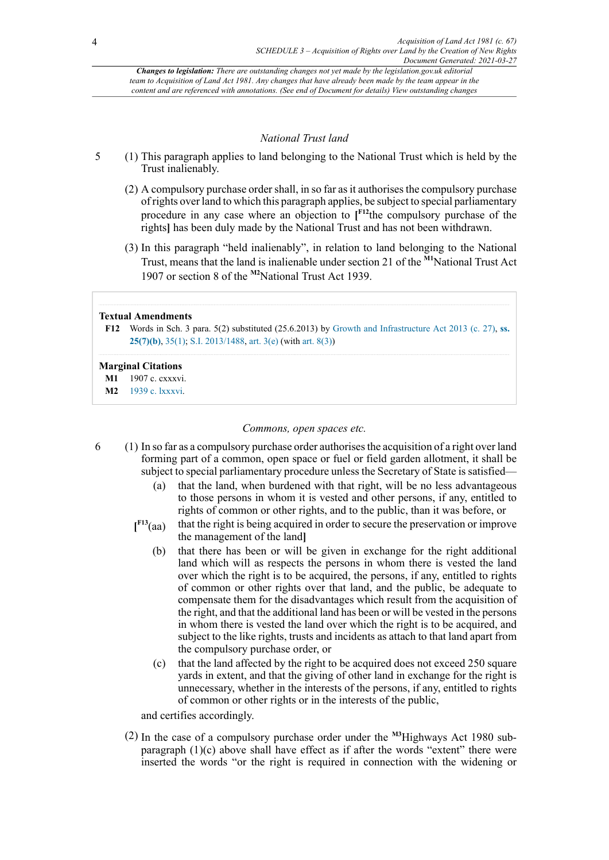# <span id="page-6-5"></span><span id="page-6-4"></span><span id="page-6-3"></span>*National Trust land*

- 5 (1) This paragraph applies to land belonging to the National Trust which is held by the Trust inalienably.
	- (2) A compulsory purchase order shall, in so far as it authorises the compulsory purchase of rights over land to which this paragraph applies, be subject to special parliamentary procedure in any case where an objection to **[ [F12](#page-6-0)**the compulsory purchase of the rights**]** has been duly made by the National Trust and has not been withdrawn.
	- (3) In this paragraph "held inalienably", in relation to land belonging to the National Trust, means that the land is inalienable under section 21 of the **[M1](#page-6-1)**National Trust Act 1907 or section 8 of the **[M2](#page-6-2)**National Trust Act 1939.

#### **Textual Amendments**

<span id="page-6-0"></span>**[F12](#page-6-3)** Words in Sch. 3 para. 5(2) substituted (25.6.2013) by [Growth and Infrastructure Act 2013 \(c. 27\)](http://www.legislation.gov.uk/id/ukpga/2013/27), **[ss.](http://www.legislation.gov.uk/id/ukpga/2013/27/section/25/7/b) [25\(7\)\(b\)](http://www.legislation.gov.uk/id/ukpga/2013/27/section/25/7/b)**, [35\(1\)](http://www.legislation.gov.uk/id/ukpga/2013/27/section/35/1); [S.I. 2013/1488](http://www.legislation.gov.uk/id/uksi/2013/1488), [art. 3\(e\)](http://www.legislation.gov.uk/id/uksi/2013/1488/article/3/e) (with [art. 8\(3\)\)](http://www.legislation.gov.uk/id/uksi/2013/1488/article/8/3)

#### **Marginal Citations**

<span id="page-6-1"></span>**[M1](#page-6-4)** 1907 c. cxxxvi.

<span id="page-6-2"></span>**[M2](#page-6-5)** [1939 c. lxxxvi](http://www.legislation.gov.uk/id/ukla/1939/86).

# *Commons, open spaces etc.*

- <span id="page-6-6"></span>6 (1) In so far as a compulsory purchase order authorises the acquisition of a right over land forming part of a common, open space or fuel or field garden allotment, it shall be subject to special parliamentary procedure unless the Secretary of State is satisfied—
	- (a) that the land, when burdened with that right, will be no less advantageous to those persons in whom it is vested and other persons, if any, entitled to rights of common or other rights, and to the public, than it was before, or
	- $I<sup>F13</sup>(aa)$ that the right is being acquired in order to secure the preservation or improve the management of the land**]**
		- (b) that there has been or will be given in exchange for the right additional land which will as respects the persons in whom there is vested the land over which the right is to be acquired, the persons, if any, entitled to rights of common or other rights over that land, and the public, be adequate to compensate them for the disadvantages which result from the acquisition of the right, and that the additional land has been or will be vested in the persons in whom there is vested the land over which the right is to be acquired, and subject to the like rights, trusts and incidents as attach to that land apart from the compulsory purchase order, or
		- (c) that the land affected by the right to be acquired does not exceed 250 square yards in extent, and that the giving of other land in exchange for the right is unnecessary, whether in the interests of the persons, if any, entitled to rights of common or other rights or in the interests of the public,

<span id="page-6-7"></span>and certifies accordingly.

(2) In the case of a compulsory purchase order under the **[M3](#page-7-1)**Highways Act 1980 subparagraph  $(1)(c)$  above shall have effect as if after the words "extent" there were inserted the words "or the right is required in connection with the widening or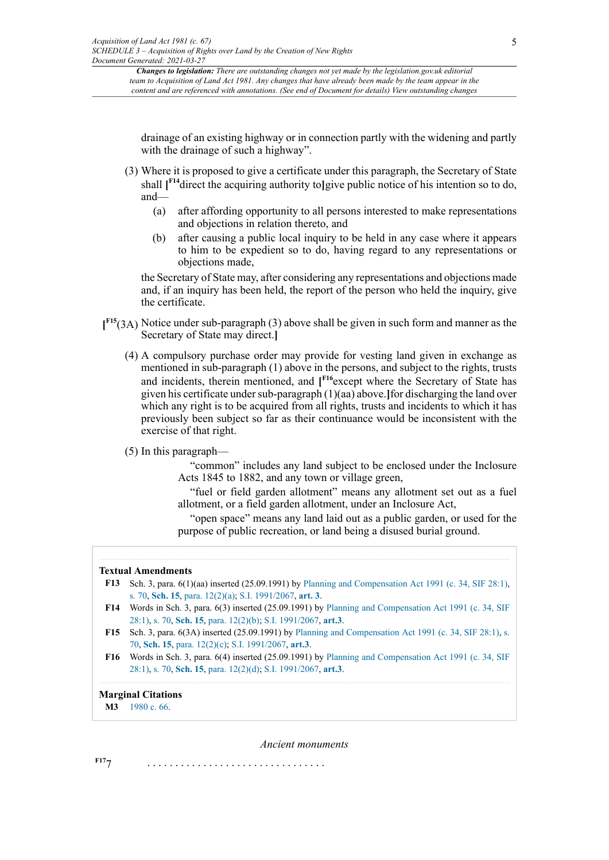drainage of an existing highway or in connection partly with the widening and partly with the drainage of such a highway".

- <span id="page-7-5"></span>(3) Where it is proposed to give a certificate under this paragraph, the Secretary of State shall **[ [F14](#page-7-2)**direct the acquiring authority to**]**give public notice of his intention so to do, and—
	- (a) after affording opportunity to all persons interested to make representations and objections in relation thereto, and
	- (b) after causing a public local inquiry to be held in any case where it appears to him to be expedient so to do, having regard to any representations or objections made,

the Secretary of State may, after considering any representations and objections made and, if an inquiry has been held, the report of the person who held the inquiry, give the certificate.

- <span id="page-7-6"></span>**[ [F15](#page-7-3)**(3A) Notice under sub-paragraph (3) above shall be given in such form and manner as the Secretary of State may direct.**]**
	- (4) A compulsory purchase order may provide for vesting land given in exchange as mentioned in sub-paragraph (1) above in the persons, and subject to the rights, trusts and incidents, therein mentioned, and **[ [F16](#page-7-4)**except where the Secretary of State has given his certificate under sub-paragraph (1)(aa) above.**]**for discharging the land over which any right is to be acquired from all rights, trusts and incidents to which it has previously been subject so far as their continuance would be inconsistent with the exercise of that right.
	- (5) In this paragraph—

<span id="page-7-7"></span>"common" includes any land subject to be enclosed under the Inclosure Acts 1845 to 1882, and any town or village green,

"fuel or field garden allotment" means any allotment set out as a fuel allotment, or a field garden allotment, under an Inclosure Act,

"open space" means any land laid out as a public garden, or used for the purpose of public recreation, or land being a disused burial ground.

### **Textual Amendments**

- <span id="page-7-0"></span>**[F13](#page-6-6)** Sch. 3, para. 6(1)(aa) inserted (25.09.1991) by [Planning and Compensation Act 1991 \(c. 34, SIF 28:1\)](http://www.legislation.gov.uk/id/ukpga/1991/34), [s. 70,](http://www.legislation.gov.uk/id/ukpga/1991/34/section/70) **[Sch. 15](http://www.legislation.gov.uk/id/ukpga/1991/34/schedule/15)**, [para. 12\(2\)\(a\);](http://www.legislation.gov.uk/id/ukpga/1991/34/paragraph/12/2/a) [S.I. 1991/2067,](http://www.legislation.gov.uk/id/uksi/1991/2067) **[art. 3](http://www.legislation.gov.uk/id/uksi/1991/2067/article/3)**.
- <span id="page-7-2"></span>**[F14](#page-7-5)** Words in Sch. 3, para. 6(3) inserted (25.09.1991) by [Planning and Compensation Act 1991 \(c. 34, SIF](http://www.legislation.gov.uk/id/ukpga/1991/34) [28:1\),](http://www.legislation.gov.uk/id/ukpga/1991/34) [s. 70](http://www.legislation.gov.uk/id/ukpga/1991/34/section/70), **[Sch. 15](http://www.legislation.gov.uk/id/ukpga/1991/34/schedule/15)**, [para. 12\(2\)\(b\);](http://www.legislation.gov.uk/id/ukpga/1991/34/paragraph/12/2/b) [S.I. 1991/2067,](http://www.legislation.gov.uk/id/uksi/1991/2067) **[art.3](http://www.legislation.gov.uk/id/uksi/1991/2067/article/3)**.
- <span id="page-7-3"></span>**[F15](#page-7-6)** Sch. 3, para. 6(3A) inserted (25.09.1991) by [Planning and Compensation Act 1991 \(c. 34, SIF 28:1\)](http://www.legislation.gov.uk/id/ukpga/1991/34), [s.](http://www.legislation.gov.uk/id/ukpga/1991/34/section/70) [70,](http://www.legislation.gov.uk/id/ukpga/1991/34/section/70) **[Sch. 15](http://www.legislation.gov.uk/id/ukpga/1991/34/schedule/15)**, [para. 12\(2\)\(c\);](http://www.legislation.gov.uk/id/ukpga/1991/34/paragraph/12/2/c) [S.I. 1991/2067,](http://www.legislation.gov.uk/id/uksi/1991/2067) **[art.3](http://www.legislation.gov.uk/id/uksi/1991/2067/article/3)**.
- <span id="page-7-4"></span>**[F16](#page-7-7)** Words in Sch. 3, para. 6(4) inserted (25.09.1991) by [Planning and Compensation Act 1991 \(c. 34, SIF](http://www.legislation.gov.uk/id/ukpga/1991/34) [28:1\),](http://www.legislation.gov.uk/id/ukpga/1991/34) [s. 70](http://www.legislation.gov.uk/id/ukpga/1991/34/section/70), **[Sch. 15](http://www.legislation.gov.uk/id/ukpga/1991/34/schedule/15)**, [para. 12\(2\)\(d\);](http://www.legislation.gov.uk/id/ukpga/1991/34/paragraph/12/2/d) [S.I. 1991/2067,](http://www.legislation.gov.uk/id/uksi/1991/2067) **[art.3](http://www.legislation.gov.uk/id/uksi/1991/2067/article/3)**.

# **Marginal Citations**

<span id="page-7-1"></span>**[M3](#page-6-7)** [1980 c. 66](http://www.legislation.gov.uk/id/ukpga/1980/66).

*Ancient monuments*

<span id="page-7-8"></span>**[F17](#page-8-0)**7 . . . . . . . . . . . . . . . . . . . . . . . . . . . . . . . .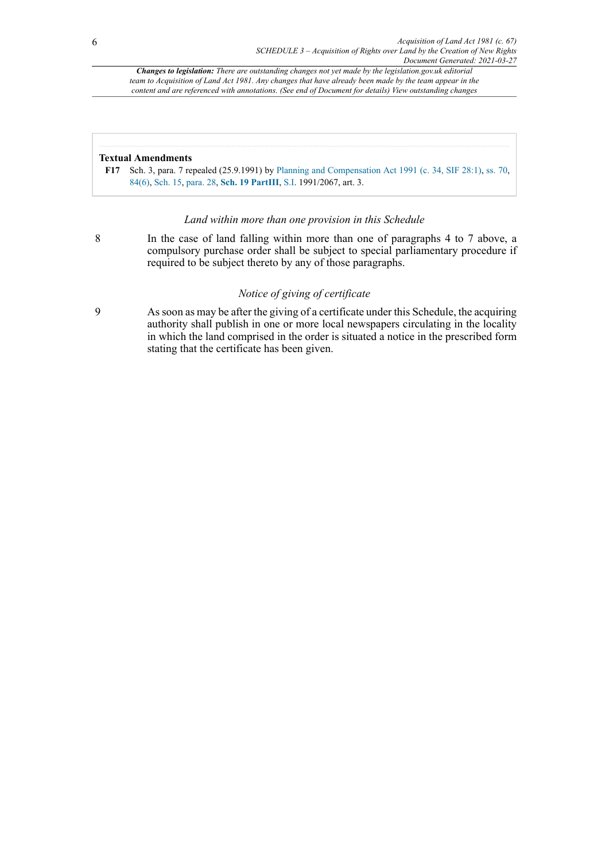# **Textual Amendments**

<span id="page-8-0"></span>**[F17](#page-7-8)** Sch. 3, para. 7 repealed (25.9.1991) by [Planning and Compensation Act 1991 \(c. 34, SIF 28:1\),](http://www.legislation.gov.uk/id/ukpga/1991/34) [ss. 70](http://www.legislation.gov.uk/id/ukpga/1991/34/section/70), [84\(6\)](http://www.legislation.gov.uk/id/ukpga/1991/34/section/84/6), [Sch. 15,](http://www.legislation.gov.uk/id/ukpga/1991/34/schedule/15) [para. 28](http://www.legislation.gov.uk/id/ukpga/1991/34/paragraph/28), **[Sch. 19 PartIII](http://www.legislation.gov.uk/id/ukpga/1991/34/schedule/19)**, [S.I.](http://www.legislation.gov.uk/id/ukpga/1991/34/section/I) 1991/2067, art. 3.

# *Land within more than one provision in this Schedule*

8 In the case of land falling within more than one of paragraphs 4 to 7 above, a compulsory purchase order shall be subject to special parliamentary procedure if required to be subject thereto by any of those paragraphs.

# *Notice of giving of certificate*

9 As soon as may be after the giving of a certificate under this Schedule, the acquiring authority shall publish in one or more local newspapers circulating in the locality in which the land comprised in the order is situated a notice in the prescribed form stating that the certificate has been given.